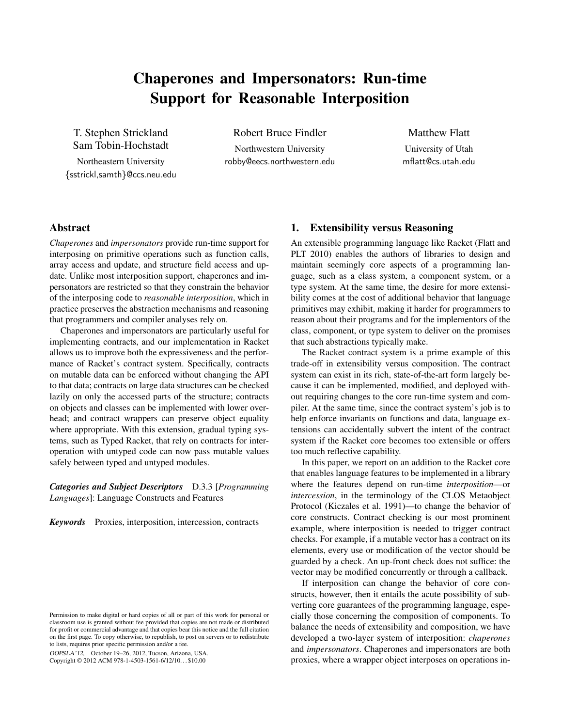# Chaperones and Impersonators: Run-time Support for Reasonable Interposition

T. Stephen Strickland Sam Tobin-Hochstadt

Northeastern University {sstrickl,samth}@ccs.neu.edu

Robert Bruce Findler Northwestern University robby@eecs.northwestern.edu Matthew Flatt

University of Utah mflatt@cs.utah.edu

# Abstract

*Chaperones* and *impersonators* provide run-time support for interposing on primitive operations such as function calls, array access and update, and structure field access and update. Unlike most interposition support, chaperones and impersonators are restricted so that they constrain the behavior of the interposing code to *reasonable interposition*, which in practice preserves the abstraction mechanisms and reasoning that programmers and compiler analyses rely on.

Chaperones and impersonators are particularly useful for implementing contracts, and our implementation in Racket allows us to improve both the expressiveness and the performance of Racket's contract system. Specifically, contracts on mutable data can be enforced without changing the API to that data; contracts on large data structures can be checked lazily on only the accessed parts of the structure; contracts on objects and classes can be implemented with lower overhead; and contract wrappers can preserve object equality where appropriate. With this extension, gradual typing systems, such as Typed Racket, that rely on contracts for interoperation with untyped code can now pass mutable values safely between typed and untyped modules.

*Categories and Subject Descriptors* D.3.3 [*Programming Languages*]: Language Constructs and Features

*Keywords* Proxies, interposition, intercession, contracts

OOPSLA'12, October 19–26, 2012, Tucson, Arizona, USA. Copyright © 2012 ACM 978-1-4503-1561-6/12/10. . . \$10.00

# 1. Extensibility versus Reasoning

An extensible programming language like Racket (Flatt and PLT 2010) enables the authors of libraries to design and maintain seemingly core aspects of a programming language, such as a class system, a component system, or a type system. At the same time, the desire for more extensibility comes at the cost of additional behavior that language primitives may exhibit, making it harder for programmers to reason about their programs and for the implementors of the class, component, or type system to deliver on the promises that such abstractions typically make.

The Racket contract system is a prime example of this trade-off in extensibility versus composition. The contract system can exist in its rich, state-of-the-art form largely because it can be implemented, modified, and deployed without requiring changes to the core run-time system and compiler. At the same time, since the contract system's job is to help enforce invariants on functions and data, language extensions can accidentally subvert the intent of the contract system if the Racket core becomes too extensible or offers too much reflective capability.

In this paper, we report on an addition to the Racket core that enables language features to be implemented in a library where the features depend on run-time *interposition*—or *intercession*, in the terminology of the CLOS Metaobject Protocol (Kiczales et al. 1991)—to change the behavior of core constructs. Contract checking is our most prominent example, where interposition is needed to trigger contract checks. For example, if a mutable vector has a contract on its elements, every use or modification of the vector should be guarded by a check. An up-front check does not suffice: the vector may be modified concurrently or through a callback.

If interposition can change the behavior of core constructs, however, then it entails the acute possibility of subverting core guarantees of the programming language, especially those concerning the composition of components. To balance the needs of extensibility and composition, we have developed a two-layer system of interposition: *chaperones* and *impersonators*. Chaperones and impersonators are both proxies, where a wrapper object interposes on operations in-

Permission to make digital or hard copies of all or part of this work for personal or classroom use is granted without fee provided that copies are not made or distributed for profit or commercial advantage and that copies bear this notice and the full citation on the first page. To copy otherwise, to republish, to post on servers or to redistribute to lists, requires prior specific permission and/or a fee.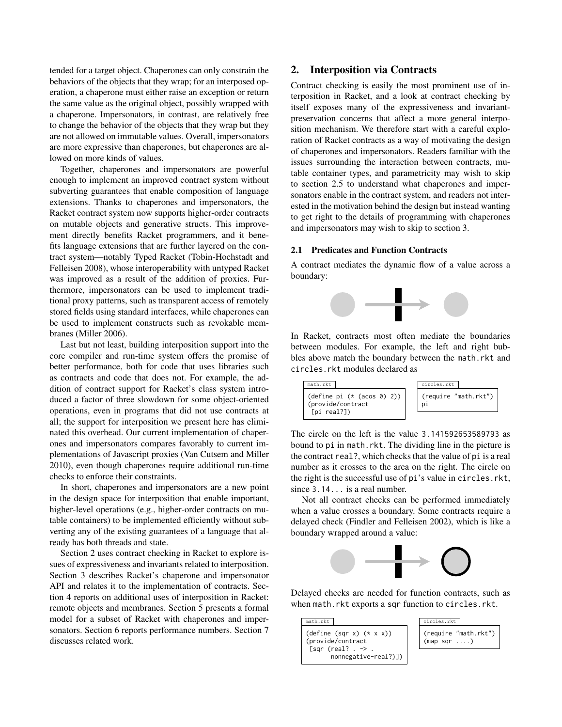tended for a target object. Chaperones can only constrain the behaviors of the objects that they wrap; for an interposed operation, a chaperone must either raise an exception or return the same value as the original object, possibly wrapped with a chaperone. Impersonators, in contrast, are relatively free to change the behavior of the objects that they wrap but they are not allowed on immutable values. Overall, impersonators are more expressive than chaperones, but chaperones are allowed on more kinds of values.

Together, chaperones and impersonators are powerful enough to implement an improved contract system without subverting guarantees that enable composition of language extensions. Thanks to chaperones and impersonators, the Racket contract system now supports higher-order contracts on mutable objects and generative structs. This improvement directly benefits Racket programmers, and it benefits language extensions that are further layered on the contract system-notably Typed Racket (Tobin-Hochstadt and Felleisen 2008), whose interoperability with untyped Racket was improved as a result of the addition of proxies. Furthermore, impersonators can be used to implement traditional proxy patterns, such as transparent access of remotely stored fields using standard interfaces, while chaperones can be used to implement constructs such as revokable membranes (Miller 2006).

Last but not least, building interposition support into the core compiler and run-time system offers the promise of better performance, both for code that uses libraries such as contracts and code that does not. For example, the addition of contract support for Racket's class system introduced a factor of three slowdown for some object-oriented operations, even in programs that did not use contracts at all; the support for interposition we present here has eliminated this overhead. Our current implementation of chaperones and impersonators compares favorably to current implementations of Javascript proxies (Van Cutsem and Miller 2010), even though chaperones require additional run-time checks to enforce their constraints.

In short, chaperones and impersonators are a new point in the design space for interposition that enable important, higher-level operations (e.g., higher-order contracts on mutable containers) to be implemented efficiently without subverting any of the existing guarantees of a language that already has both threads and state.

Section 2 uses contract checking in Racket to explore issues of expressiveness and invariants related to interposition. Section 3 describes Racket's chaperone and impersonator API and relates it to the implementation of contracts. Section 4 reports on additional uses of interposition in Racket: remote objects and membranes. Section 5 presents a formal model for a subset of Racket with chaperones and impersonators. Section 6 reports performance numbers. Section 7 discusses related work.

# 2. Interposition via Contracts

Contract checking is easily the most prominent use of interposition in Racket, and a look at contract checking by itself exposes many of the expressiveness and invariantpreservation concerns that affect a more general interposition mechanism. We therefore start with a careful exploration of Racket contracts as a way of motivating the design of chaperones and impersonators. Readers familiar with the issues surrounding the interaction between contracts, mutable container types, and parametricity may wish to skip to section 2.5 to understand what chaperones and impersonators enable in the contract system, and readers not interested in the motivation behind the design but instead wanting to get right to the details of programming with chaperones and impersonators may wish to skip to section 3.

#### 2.1 Predicates and Function Contracts

A contract mediates the dynamic flow of a value across a boundary:



In Racket, contracts most often mediate the boundaries between modules. For example, the left and right bubbles above match the boundary between the math.rkt and circles.rkt modules declared as



The circle on the left is the value 3.141592653589793 as bound to pi in math.rkt. The dividing line in the picture is the contract real?, which checks that the value of pi is a real number as it crosses to the area on the right. The circle on the right is the successful use of pi's value in circles.rkt, since  $3.14...$  is a real number.

Not all contract checks can be performed immediately when a value crosses a boundary. Some contracts require a delayed check (Findler and Felleisen 2002), which is like a boundary wrapped around a value:



Delayed checks are needed for function contracts, such as when math.rkt exports a sqr function to circles.rkt.

| math.rkt                                                                                                | circles.rkt                                      |
|---------------------------------------------------------------------------------------------------------|--------------------------------------------------|
| $(detine (sqrt x) (* x x))$<br>(provide/contract<br>[sqr (real? $\rightarrow$ .<br>nonnegative-real?)]) | (require "math.rkt")<br>$(map \; sqr \; \ldots)$ |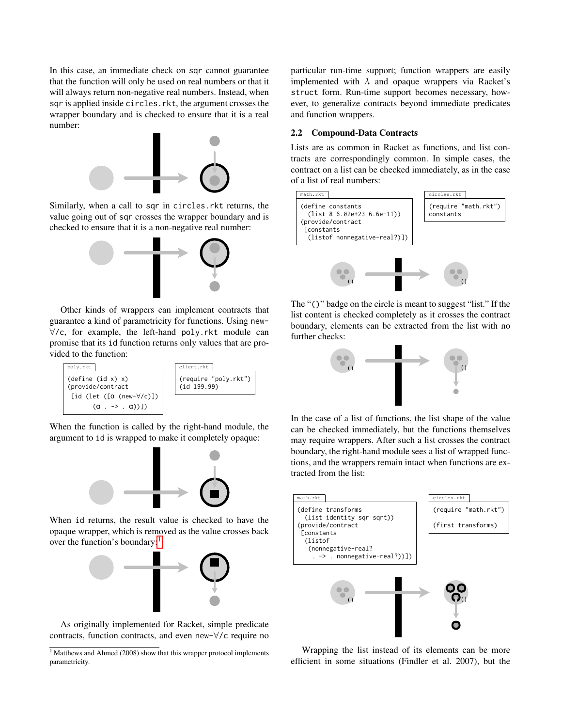In this case, an immediate check on sqr cannot guarantee that the function will only be used on real numbers or that it will always return non-negative real numbers. Instead, when sqr is applied inside circles. rkt, the argument crosses the wrapper boundary and is checked to ensure that it is a real number:



Similarly, when a call to sqr in circles. rkt returns, the value going out of sqr crosses the wrapper boundary and is checked to ensure that it is a non-negative real number:



Other kinds of wrappers can implement contracts that guarantee a kind of parametricity for functions. Using new- $\forall$ /c, for example, the left-hand poly.rkt module can promise that its id function returns only values that are provided to the function:



When the function is called by the right-hand module, the argument to id is wrapped to make it completely opaque:



When id returns, the result value is checked to have the opaque wrapper, which is removed as the value crosses back over the function's boundary:<sup>1</sup>



As originally implemented for Racket, simple predicate contracts, function contracts, and even new- $\forall$ /c require no

<span id="page-2-0"></span> $1$  Matthews and Ahmed (2008) show that this wrapper protocol implements parametricity.

particular run-time support; function wrappers are easily implemented with  $\lambda$  and opaque wrappers via Racket's struct form. Run-time support becomes necessary, however, to generalize contracts beyond immediate predicates and function wrappers.

#### 2.2 Compound-Data Contracts

Lists are as common in Racket as functions, and list contracts are correspondingly common. In simple cases, the contract on a list can be checked immediately, as in the case of a list of real numbers:



The "()" badge on the circle is meant to suggest "list." If the list content is checked completely as it crosses the contract boundary, elements can be extracted from the list with no further checks:



In the case of a list of functions, the list shape of the value can be checked immediately, but the functions themselves may require wrappers. After such a list crosses the contract boundary, the right-hand module sees a list of wrapped functions, and the wrappers remain intact when functions are extracted from the list:



Wrapping the list instead of its elements can be more efficient in some situations (Findler et al. 2007), but the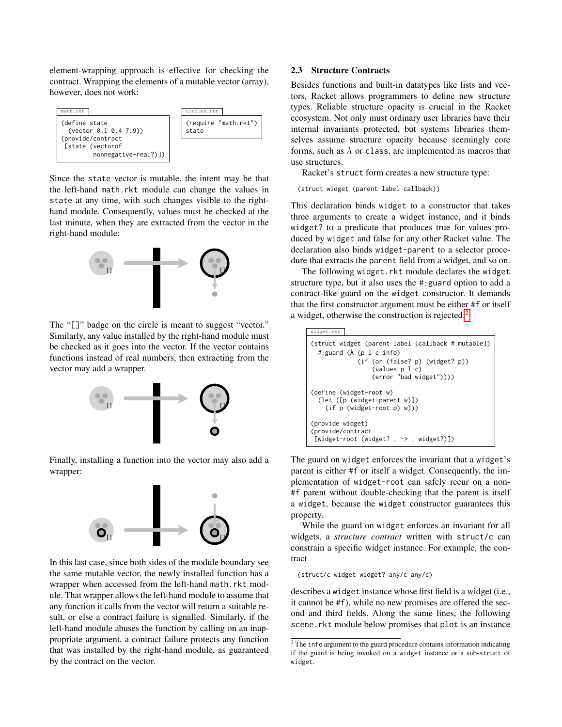element-wrapping approach is effective for checking the contract. Wrapping the elements of a mutable vector (array), however, does not work:



Since the state vector is mutable, the intent may be that the left-hand math.rkt module can change the values in state at any time, with such changes visible to the righthand module. Consequently, values must be checked at the last minute, when they are extracted from the vector in the right-hand module:



The "[]" badge on the circle is meant to suggest "vector." Similarly, any value installed by the right-hand module must be checked as it goes into the vector. If the vector contains functions instead of real numbers, then extracting from the vector may add a wrapper.



Finally, installing a function into the vector may also add a wrapper:



In this last case, since both sides of the module boundary see the same mutable vector, the newly installed function has a wrapper when accessed from the left-hand math.rkt module. That wrapper allows the left-hand module to assume that any function it calls from the vector will return a suitable result, or else a contract failure is signalled. Similarly, if the left-hand module abuses the function by calling on an inappropriate argument, a contract failure protects any function that was installed by the right-hand module, as guaranteed by the contract on the vector.

# 2.3 Structure Contracts

Besides functions and built-in datatypes like lists and vectors, Racket allows programmers to define new structure types. Reliable structure opacity is crucial in the Racket ecosystem. Not only must ordinary user libraries have their internal invariants protected, but systems libraries themselves assume structure opacity because seemingly core forms, such as  $\lambda$  or class, are implemented as macros that use structures.

Racket's struct form creates a new structure type:

(struct widget (parent label callback))

This declaration binds widget to a constructor that takes three arguments to create a widget instance, and it binds widget? to a predicate that produces true for values produced by widget and false for any other Racket value. The declaration also binds widget-parent to a selector procedure that extracts the parent field from a widget, and so on.

The following widget.rkt module declares the widget structure type, but it also uses the #: guard option to add a contract-like guard on the widget constructor. It demands that the first constructor argument must be either #f or itself a widget, otherwise the construction is rejected. $<sup>2</sup>$ </sup>

```
widget.rkt
(struct widget (parent label [callback #:mutable])
  #:guard (\lambda (p l c info)
             (if (or (false? p) (widget? p))(values p 1 c)(error "bad widget"))))
(define (widget-root w)
  (let ([p (widget-parent w)])
    (if p (widget-root p) w)))(provide widget)
(provide/contract
 [widget-root (widget? . -> . widget?)])
```
The guard on widget enforces the invariant that a widget's parent is either #f or itself a widget. Consequently, the implementation of widget-root can safely recur on a non-#f parent without double-checking that the parent is itself a widget, because the widget constructor guarantees this property.

While the guard on widget enforces an invariant for all widgets, a *structure contract* written with struct/c can constrain a specific widget instance. For example, the contract

```
(struct/c widget widget? any/c any/c)
```
describes a widget instance whose first field is a widget (i.e., it cannot be #f), while no new promises are offered the second and third fields. Along the same lines, the following scene.rkt module below promises that plot is an instance

<span id="page-3-0"></span> $2$  The info argument to the guard procedure contains information indicating if the guard is being invoked on a widget instance or a sub-struct of widget.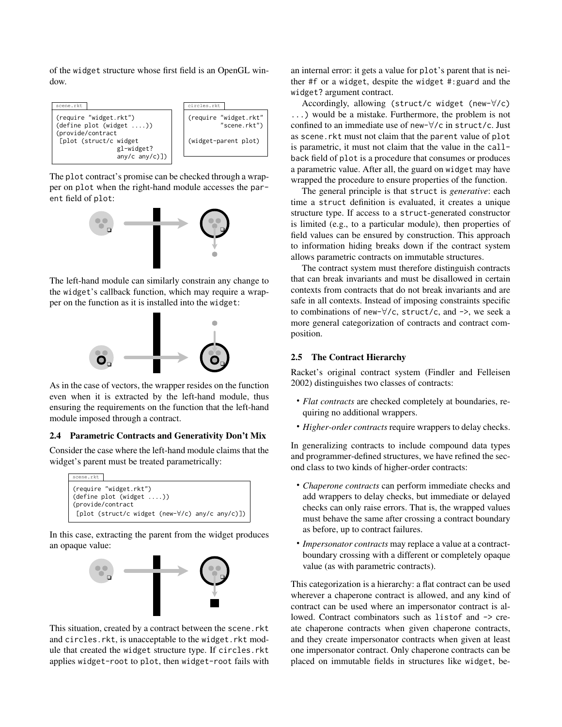of the widget structure whose first field is an OpenGL window.



The plot contract's promise can be checked through a wrapper on plot when the right-hand module accesses the parent field of plot:



The left-hand module can similarly constrain any change to the widget's callback function, which may require a wrapper on the function as it is installed into the widget:



As in the case of vectors, the wrapper resides on the function even when it is extracted by the left-hand module, thus ensuring the requirements on the function that the left-hand module imposed through a contract.

### 2.4 Parametric Contracts and Generativity Don't Mix

Consider the case where the left-hand module claims that the widget's parent must be treated parametrically:

![](_page_4_Figure_9.jpeg)

In this case, extracting the parent from the widget produces an opaque value:

![](_page_4_Figure_11.jpeg)

This situation, created by a contract between the scene.rkt and circles.rkt, is unacceptable to the widget.rkt module that created the widget structure type. If circles.rkt applies widget-root to plot, then widget-root fails with an internal error: it gets a value for plot's parent that is neither #f or a widget, despite the widget #: guard and the widget? argument contract.

Accordingly, allowing (struct/c widget (new-∀/c) ...) would be a mistake. Furthermore, the problem is not confined to an immediate use of new- $\forall$ /c in struct/c. Just as scene. rkt must not claim that the parent value of plot is parametric, it must not claim that the value in the callback field of plot is a procedure that consumes or produces a parametric value. After all, the guard on widget may have wrapped the procedure to ensure properties of the function.

The general principle is that struct is *generative*: each time a struct definition is evaluated, it creates a unique structure type. If access to a struct-generated constructor is limited (e.g., to a particular module), then properties of field values can be ensured by construction. This approach to information hiding breaks down if the contract system allows parametric contracts on immutable structures.

The contract system must therefore distinguish contracts that can break invariants and must be disallowed in certain contexts from contracts that do not break invariants and are safe in all contexts. Instead of imposing constraints specific to combinations of new- $\forall$ /c, struct/c, and ->, we seek a more general categorization of contracts and contract composition.

#### 2.5 The Contract Hierarchy

Racket's original contract system (Findler and Felleisen 2002) distinguishes two classes of contracts:

- Flat contracts are checked completely at boundaries, requiring no additional wrappers.
- Higher-order contracts require wrappers to delay checks.

In generalizing contracts to include compound data types and programmer-defined structures, we have refined the second class to two kinds of higher-order contracts:

- Chaperone contracts can perform immediate checks and add wrappers to delay checks, but immediate or delayed checks can only raise errors. That is, the wrapped values must behave the same after crossing a contract boundary as before, up to contract failures.
- Impersonator contracts may replace a value at a contractboundary crossing with a different or completely opaque value (as with parametric contracts).

This categorization is a hierarchy: a flat contract can be used wherever a chaperone contract is allowed, and any kind of contract can be used where an impersonator contract is allowed. Contract combinators such as list of and -> create chaperone contracts when given chaperone contracts, and they create impersonator contracts when given at least one impersonator contract. Only chaperone contracts can be placed on immutable fields in structures like widget, be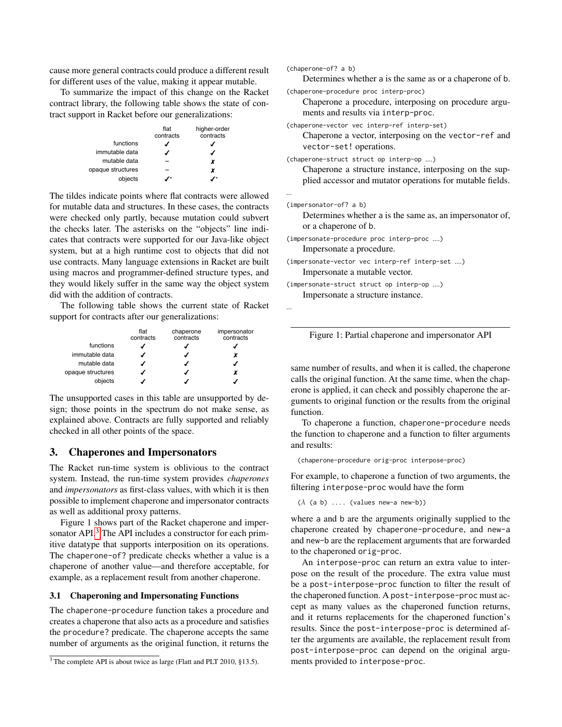cause more general contracts could produce a different result for different uses of the value, making it appear mutable.

To summarize the impact of this change on the Racket contract library, the following table shows the state of contract support in Racket before our generalizations:

|                   | flat<br>contracts | higher-order<br>contracts |
|-------------------|-------------------|---------------------------|
| functions         |                   |                           |
| immutable data    |                   |                           |
| mutable data      | $\tilde{}$        | x                         |
| opaque structures | $\tilde{}$        |                           |
| objects           |                   |                           |

The tildes indicate points where flat contracts were allowed for mutable data and structures. In these cases, the contracts were checked only partly, because mutation could subvert the checks later. The asterisks on the "objects" line indicates that contracts were supported for our Java-like object system, but at a high runtime cost to objects that did not use contracts. Many language extensions in Racket are built using macros and programmer-defined structure types, and they would likely suffer in the same way the object system did with the addition of contracts.

The following table shows the current state of Racket support for contracts after our generalizations:

|                   | flat<br>contracts | chaperone<br>contracts | impersonator<br>contracts |
|-------------------|-------------------|------------------------|---------------------------|
| functions         |                   |                        |                           |
| immutable data    |                   |                        | x                         |
| mutable data      |                   |                        |                           |
| opaque structures |                   |                        | x                         |
| objects           |                   |                        |                           |

The unsupported cases in this table are unsupported by design; those points in the spectrum do not make sense, as explained above. Contracts are fully supported and reliably checked in all other points of the space.

#### **Chaperones and Impersonators** 3.

The Racket run-time system is oblivious to the contract system. Instead, the run-time system provides chaperones and *impersonators* as first-class values, with which it is then possible to implement chaperone and impersonator contracts as well as additional proxy patterns.

Figure 1 shows part of the Racket chaperone and impersonator API.<sup>3</sup> The API includes a constructor for each primitive datatype that supports interposition on its operations. The chaperone-of? predicate checks whether a value is a chaperone of another value—and therefore acceptable, for example, as a replacement result from another chaperone.

#### 3.1 Chaperoning and Impersonating Functions

The chaperone-procedure function takes a procedure and creates a chaperone that also acts as a procedure and satisfies the procedure? predicate. The chaperone accepts the same number of arguments as the original function, it returns the (chaperone-of? a b)

Determines whether a is the same as or a chaperone of b. (chaperone-procedure proc interp-proc)

Chaperone a procedure, interposing on procedure arguments and results via interp-proc.

(chaperone-vector vec interp-ref interp-set)

Chaperone a vector, interposing on the vector-ref and vector-set! operations.

(chaperone-struct struct op interp-op ....)

Chaperone a structure instance, interposing on the supplied accessor and mutator operations for mutable fields.

(impersonator-of? a b)

Determines whether a is the same as, an impersonator of, or a chaperone of b.

(impersonate-procedure proc interp-proc ...) Impersonate a procedure.

(impersonate-vector vec interp-ref interp-set ....) Impersonate a mutable vector.

(impersonate-struct struct op interp-op ....) Impersonate a structure instance.

Figure 1: Partial chaperone and impersonator API

same number of results, and when it is called, the chaperone calls the original function. At the same time, when the chaperone is applied, it can check and possibly chaperone the arguments to original function or the results from the original function.

To chaperone a function, chaperone-procedure needs the function to chaperone and a function to filter arguments and results:

(chaperone-procedure orig-proc interpose-proc)

For example, to chaperone a function of two arguments, the filtering interpose-proc would have the form

 $(\lambda$  (a b) .... (values new-a new-b))

where a and b are the arguments originally supplied to the chaperone created by chaperone-procedure, and new-a and new-b are the replacement arguments that are forwarded to the chaperoned orig-proc.

An interpose-proc can return an extra value to interpose on the result of the procedure. The extra value must be a post-interpose-proc function to filter the result of the chaperoned function. A post-interpose-proc must accept as many values as the chaperoned function returns, and it returns replacements for the chaperoned function's results. Since the post-interpose-proc is determined after the arguments are available, the replacement result from post-interpose-proc can depend on the original arguments provided to interpose-proc.

<span id="page-5-0"></span><sup>&</sup>lt;sup>3</sup> The complete API is about twice as large (Flatt and PLT 2010, §13.5).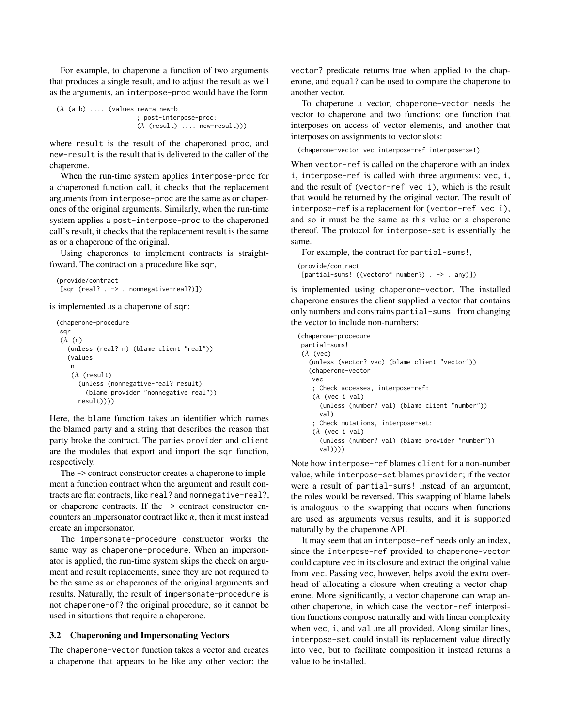For example, to chaperone a function of two arguments that produces a single result, and to adjust the result as well as the arguments, an interpose-proc would have the form

```
(λ (a b) .... (values new-a new-b
                      ; post-interpose-proc:
                      (λ (result) .... new-result)))
```
where result is the result of the chaperoned proc, and new-result is the result that is delivered to the caller of the chaperone.

When the run-time system applies interpose-proc for a chaperoned function call, it checks that the replacement arguments from interpose-proc are the same as or chaperones of the original arguments. Similarly, when the run-time system applies a post-interpose-proc to the chaperoned call's result, it checks that the replacement result is the same as or a chaperone of the original.

Using chaperones to implement contracts is straightfoward. The contract on a procedure like sqr,

```
(provide/contract
[sqr (real? . -> . nonnegative-real?)])
```
is implemented as a chaperone of sqr:

```
(chaperone-procedure
sqr
 (λ (n)
   (unless (real? n) (blame client "real"))
   (values
    n
    (λ (result)
      (unless (nonnegative-real? result)
        (blame provider "nonnegative real"))
      result))))
```
Here, the blame function takes an identifier which names the blamed party and a string that describes the reason that party broke the contract. The parties provider and client are the modules that export and import the sqr function, respectively.

The -> contract constructor creates a chaperone to implement a function contract when the argument and result contracts are flat contracts, like real? and nonnegative-real?, or chaperone contracts. If the -> contract constructor encounters an impersonator contract like  $\alpha$ , then it must instead create an impersonator.

The impersonate-procedure constructor works the same way as chaperone-procedure. When an impersonator is applied, the run-time system skips the check on argument and result replacements, since they are not required to be the same as or chaperones of the original arguments and results. Naturally, the result of impersonate-procedure is not chaperone-of? the original procedure, so it cannot be used in situations that require a chaperone.

#### 3.2 Chaperoning and Impersonating Vectors

The chaperone-vector function takes a vector and creates a chaperone that appears to be like any other vector: the

vector? predicate returns true when applied to the chaperone, and equal? can be used to compare the chaperone to another vector.

To chaperone a vector, chaperone-vector needs the vector to chaperone and two functions: one function that interposes on access of vector elements, and another that interposes on assignments to vector slots:

(chaperone-vector vec interpose-ref interpose-set)

When vector-ref is called on the chaperone with an index i, interpose-ref is called with three arguments: vec, i, and the result of (vector-ref vec i), which is the result that would be returned by the original vector. The result of interpose-ref is a replacement for (vector-ref vec i), and so it must be the same as this value or a chaperone thereof. The protocol for interpose-set is essentially the same.

For example, the contract for partial-sums!,

```
(provide/contract
[partial-sums! ((vectorof number?) . -> . any)])
```
is implemented using chaperone-vector. The installed chaperone ensures the client supplied a vector that contains only numbers and constrains partial-sums! from changing the vector to include non-numbers:

```
(chaperone-procedure
partial-sums!
 (λ (vec)
   (unless (vector? vec) (blame client "vector"))
   (chaperone-vector
   vec
    ; Check accesses, interpose-ref:
    (λ (vec i val)
      (unless (number? val) (blame client "number"))
      val)
    ; Check mutations, interpose-set:
    (λ (vec i val)
      (unless (number? val) (blame provider "number"))
      val)))
```
Note how interpose-ref blames client for a non-number value, while interpose-set blames provider; if the vector were a result of partial-sums! instead of an argument, the roles would be reversed. This swapping of blame labels is analogous to the swapping that occurs when functions are used as arguments versus results, and it is supported naturally by the chaperone API.

It may seem that an interpose-ref needs only an index, since the interpose-ref provided to chaperone-vector could capture vec in its closure and extract the original value from vec. Passing vec, however, helps avoid the extra overhead of allocating a closure when creating a vector chaperone. More significantly, a vector chaperone can wrap another chaperone, in which case the vector-ref interposition functions compose naturally and with linear complexity when vec, i, and val are all provided. Along similar lines, interpose-set could install its replacement value directly into vec, but to facilitate composition it instead returns a value to be installed.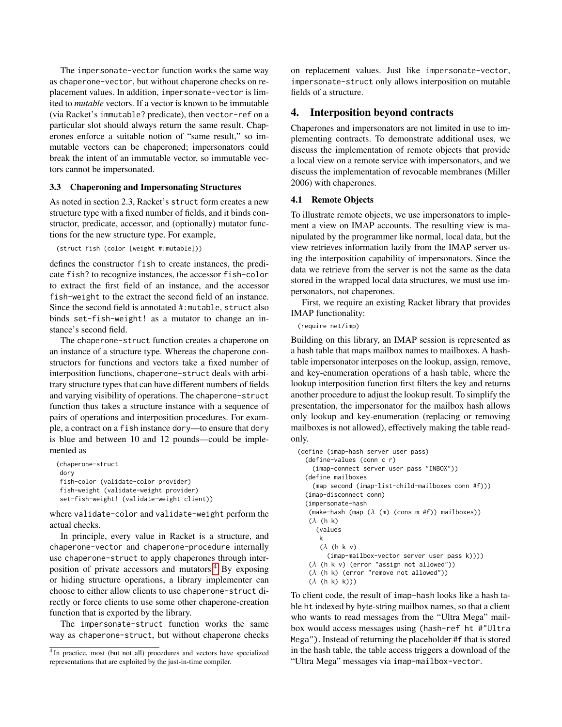The impersonate-vector function works the same way as chaperone-vector, but without chaperone checks on replacement values. In addition, impersonate-vector is limited to *mutable* vectors. If a vector is known to be immutable (via Racket's immutable? predicate), then vector-ref on a particular slot should always return the same result. Chaperones enforce a suitable notion of "same result," so immutable vectors can be chaperoned; impersonators could break the intent of an immutable vector, so immutable vectors cannot be impersonated.

#### 3.3 Chaperoning and Impersonating Structures

As noted in section 2.3, Racket's struct form creates a new structure type with a fixed number of fields, and it binds constructor, predicate, accessor, and (optionally) mutator functions for the new structure type. For example,

```
(struct fish (color [weight #:mutable]))
```
defines the constructor fish to create instances, the predicate fish? to recognize instances, the accessor fish-color to extract the first field of an instance, and the accessor fish-weight to the extract the second field of an instance. Since the second field is annotated #:mutable, struct also binds set-fish-weight! as a mutator to change an instance's second field.

The chaperone-struct function creates a chaperone on an instance of a structure type. Whereas the chaperone constructors for functions and vectors take a fixed number of interposition functions, chaperone-struct deals with arbitrary structure types that can have different numbers of fields and varying visibility of operations. The chaperone-struct function thus takes a structure instance with a sequence of pairs of operations and interposition procedures. For example, a contract on a fish instance dory—to ensure that dory is blue and between 10 and 12 pounds—could be implemented as

```
(chaperone-struct
dory
fish-color (validate-color provider)
fish-weight (validate-weight provider)
 set-fish-weight! (validate-weight client))
```
where validate-color and validate-weight perform the actual checks.

In principle, every value in Racket is a structure, and chaperone-vector and chaperone-procedure internally use chaperone-struct to apply chaperones through interposition of private accessors and mutators.[4](#page-7-0) By exposing or hiding structure operations, a library implementer can choose to either allow clients to use chaperone-struct directly or force clients to use some other chaperone-creation function that is exported by the library.

The impersonate-struct function works the same way as chaperone-struct, but without chaperone checks on replacement values. Just like impersonate-vector, impersonate-struct only allows interposition on mutable fields of a structure.

# 4. Interposition beyond contracts

Chaperones and impersonators are not limited in use to implementing contracts. To demonstrate additional uses, we discuss the implementation of remote objects that provide a local view on a remote service with impersonators, and we discuss the implementation of revocable membranes (Miller 2006) with chaperones.

#### 4.1 Remote Objects

To illustrate remote objects, we use impersonators to implement a view on IMAP accounts. The resulting view is manipulated by the programmer like normal, local data, but the view retrieves information lazily from the IMAP server using the interposition capability of impersonators. Since the data we retrieve from the server is not the same as the data stored in the wrapped local data structures, we must use impersonators, not chaperones.

First, we require an existing Racket library that provides IMAP functionality:

(require net/imp)

Building on this library, an IMAP session is represented as a hash table that maps mailbox names to mailboxes. A hashtable impersonator interposes on the lookup, assign, remove, and key-enumeration operations of a hash table, where the lookup interposition function first filters the key and returns another procedure to adjust the lookup result. To simplify the presentation, the impersonator for the mailbox hash allows only lookup and key-enumeration (replacing or removing mailboxes is not allowed), effectively making the table readonly.

```
(define (imap-hash server user pass)
  (define-values (conn c r)
    (imap-connect server user pass "INBOX"))
  (define mailboxes
    (map second (imap-list-child-mailboxes conn #f)))
  (imap-disconnect conn)
  (impersonate-hash
   (make-hash (map (λ (m) (cons m #f)) mailboxes))
   (λ (h k)
     (values
     k
      (λ (h k v)
        (imap-mailbox-vector server user pass k))))
   (λ (h k v) (error "assign not allowed"))
   (λ (h k) (error "remove not allowed"))
   (λ (h k) k)))
```
To client code, the result of imap-hash looks like a hash table ht indexed by byte-string mailbox names, so that a client who wants to read messages from the "Ultra Mega" mailbox would access messages using (hash-ref ht #"Ultra Mega"). Instead of returning the placeholder #f that is stored in the hash table, the table access triggers a download of the "Ultra Mega" messages via imap-mailbox-vector.

<span id="page-7-0"></span><sup>&</sup>lt;sup>4</sup> In practice, most (but not all) procedures and vectors have specialized representations that are exploited by the just-in-time compiler.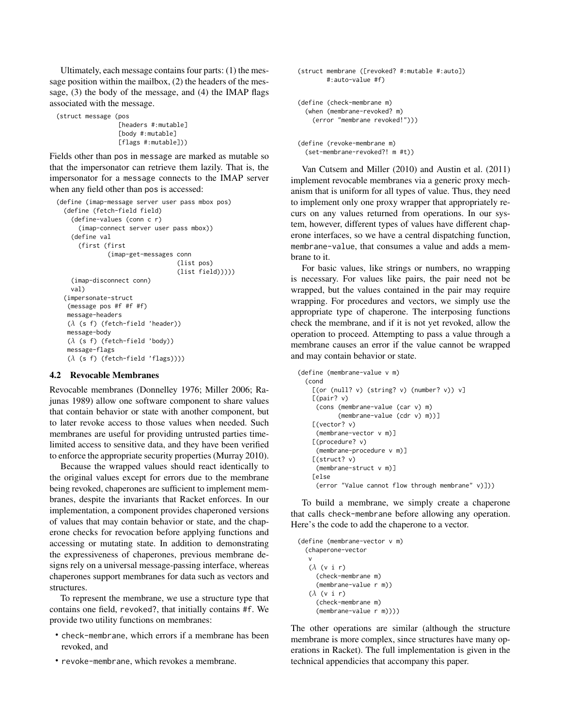Ultimately, each message contains four parts: (1) the message position within the mailbox, (2) the headers of the message, (3) the body of the message, and (4) the IMAP flags associated with the message.

```
(struct message (pos
```
[headers #:mutable] [body #:mutable] [flags #:mutable]))

Fields other than pos in message are marked as mutable so that the impersonator can retrieve them lazily. That is, the impersonator for a message connects to the IMAP server when any field other than pos is accessed:

```
(define (imap-message server user pass mbox pos)
  (define (fetch-field field)
    (define-values (conn c r)
      (imap-connect server user pass mbox))
    (define val
      (first (first
              (imap-get-messages conn
                                 (list pos)
                                 (list field)))))
    (imap-disconnect conn)
   val)
  (impersonate-struct
   (message pos #f #f #f)
  message-headers
   (λ (s f) (fetch-field 'header))
  message-body
   (λ (s f) (fetch-field 'body))
   message-flags
   (λ (s f) (fetch-field 'flags))))
```
#### 4.2 Revocable Membranes

Revocable membranes (Donnelley 1976; Miller 2006; Rajunas 1989) allow one software component to share values that contain behavior or state with another component, but to later revoke access to those values when needed. Such membranes are useful for providing untrusted parties timelimited access to sensitive data, and they have been verified to enforce the appropriate security properties (Murray 2010).

Because the wrapped values should react identically to the original values except for errors due to the membrane being revoked, chaperones are sufficient to implement membranes, despite the invariants that Racket enforces. In our implementation, a component provides chaperoned versions of values that may contain behavior or state, and the chaperone checks for revocation before applying functions and accessing or mutating state. In addition to demonstrating the expressiveness of chaperones, previous membrane designs rely on a universal message-passing interface, whereas chaperones support membranes for data such as vectors and structures.

To represent the membrane, we use a structure type that contains one field, revoked?, that initially contains #f. We provide two utility functions on membranes:

- check-membrane, which errors if a membrane has been revoked, and
- revoke-membrane, which revokes a membrane.

```
(struct membrane ([revoked? #:mutable #:auto])
        #:auto-value #f)
(define (check-membrane m)
  (when (membrane-revoked? m)
    (error "membrane revoked!")))
(define (revoke-membrane m)
```
(set-membrane-revoked?! m #t))

Van Cutsem and Miller (2010) and Austin et al. (2011) implement revocable membranes via a generic proxy mechanism that is uniform for all types of value. Thus, they need to implement only one proxy wrapper that appropriately recurs on any values returned from operations. In our system, however, different types of values have different chaperone interfaces, so we have a central dispatching function, membrane-value, that consumes a value and adds a membrane to it.

For basic values, like strings or numbers, no wrapping is necessary. For values like pairs, the pair need not be wrapped, but the values contained in the pair may require wrapping. For procedures and vectors, we simply use the appropriate type of chaperone. The interposing functions check the membrane, and if it is not yet revoked, allow the operation to proceed. Attempting to pass a value through a membrane causes an error if the value cannot be wrapped and may contain behavior or state.

```
(define (membrane-value v m)
  (cond
    [(or (null? v) (string? v) (number? v)) v][(pair? v)](cons (membrane-value (car v) m)
           (membrane-value (cdr v) m))]
   \Gamma(vector? v)
     (membrane-vector v m)]
   [ (procedure? v)(membrane-procedure v m)]
    [(struct? v)
    (membrane-struct v m)]
    [else
     (error "Value cannot flow through membrane" v)]))
```
To build a membrane, we simply create a chaperone that calls check-membrane before allowing any operation. Here's the code to add the chaperone to a vector.

```
(define (membrane-vector v m)
 (chaperone-vector
   v
   (λ (v i r)
     (check-membrane m)
     (membrane-value r m))
   (λ (v i r)
     (check-membrane m)
     (membrane-value r m))))
```
The other operations are similar (although the structure membrane is more complex, since structures have many operations in Racket). The full implementation is given in the technical appendicies that accompany this paper.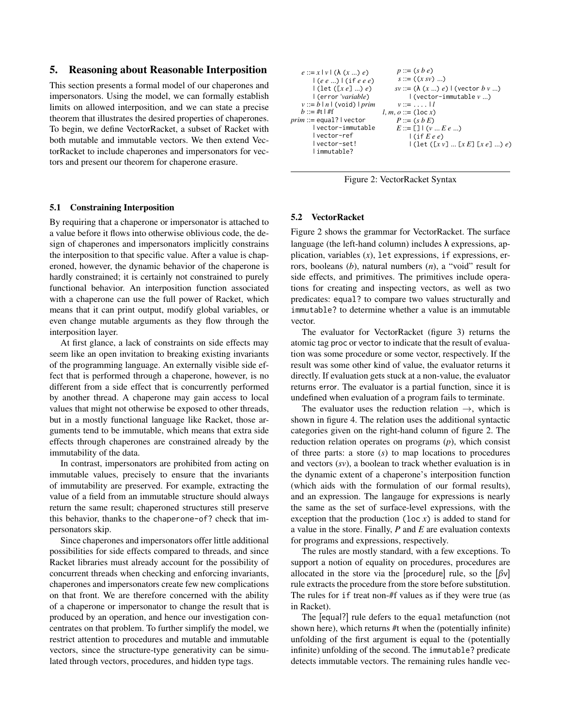#### **Reasoning about Reasonable Interposition** 5.

This section presents a formal model of our chaperones and impersonators. Using the model, we can formally establish limits on allowed interposition, and we can state a precise theorem that illustrates the desired properties of chaperones. To begin, we define VectorRacket, a subset of Racket with both mutable and immutable vectors. We then extend VectorRacket to include chaperones and impersonators for vectors and present our theorem for chaperone erasure.

```
p ::= (s b e)e ::= x | v | (\lambda (x ... ) e)s ::= ((x sv) ...)(c e ...)(if e e e)| (let ([x e] ...) e)
                                       sv ::= (\lambda (x ...) e) | (vector b v ...)\vert (vector-immutable \nu ...)
        I (error 'variable)
    v ::= b \mid n \mid (void) \mid primv ::= \ldots \cup lb ::= #t | #fl, m, o ::= (\text{loc } x)prim ::= equal? | vector
                                       P ::= (s b E)I vector-immutable
                                       E ::= [] | (v ... E e ...)I vector-ref
                                            (i f E e e)I vector-set!
                                            |(let ([x v] ... [x E] [x e] ... ) e)limmutable?
```
Figure 2: VectorRacket Syntax

#### 5.1 **Constraining Interposition**

By requiring that a chaperone or impersonator is attached to a value before it flows into otherwise oblivious code, the design of chaperones and impersonators implicitly constrains the interposition to that specific value. After a value is chaperoned, however, the dynamic behavior of the chaperone is hardly constrained; it is certainly not constrained to purely functional behavior. An interposition function associated with a chaperone can use the full power of Racket, which means that it can print output, modify global variables, or even change mutable arguments as they flow through the interposition layer.

At first glance, a lack of constraints on side effects may seem like an open invitation to breaking existing invariants of the programming language. An externally visible side effect that is performed through a chaperone, however, is no different from a side effect that is concurrently performed by another thread. A chaperone may gain access to local values that might not otherwise be exposed to other threads, but in a mostly functional language like Racket, those arguments tend to be immutable, which means that extra side effects through chaperones are constrained already by the immutability of the data.

In contrast, impersonators are prohibited from acting on immutable values, precisely to ensure that the invariants of immutability are preserved. For example, extracting the value of a field from an immutable structure should always return the same result; chaperoned structures still preserve this behavior, thanks to the chaperone-of? check that impersonators skip.

Since chaperones and impersonators offer little additional possibilities for side effects compared to threads, and since Racket libraries must already account for the possibility of concurrent threads when checking and enforcing invariants, chaperones and impersonators create few new complications on that front. We are therefore concerned with the ability of a chaperone or impersonator to change the result that is produced by an operation, and hence our investigation concentrates on that problem. To further simplify the model, we restrict attention to procedures and mutable and immutable vectors, since the structure-type generativity can be simulated through vectors, procedures, and hidden type tags.

#### 5.2 VectorRacket

Figure 2 shows the grammar for VectorRacket. The surface language (the left-hand column) includes  $\lambda$  expressions, application, variables  $(x)$ , let expressions, if expressions, errors, booleans  $(b)$ , natural numbers  $(n)$ , a "void" result for side effects, and primitives. The primitives include operations for creating and inspecting vectors, as well as two predicates: equal? to compare two values structurally and immutable? to determine whether a value is an immutable vector

The evaluator for VectorRacket (figure 3) returns the atomic tag proc or vector to indicate that the result of evaluation was some procedure or some vector, respectively. If the result was some other kind of value, the evaluator returns it directly. If evaluation gets stuck at a non-value, the evaluator returns error. The evaluator is a partial function, since it is undefined when evaluation of a program fails to terminate.

The evaluator uses the reduction relation  $\rightarrow$ , which is shown in figure 4. The relation uses the additional syntactic categories given on the right-hand column of figure 2. The reduction relation operates on programs  $(p)$ , which consist of three parts: a store  $(s)$  to map locations to procedures and vectors  $(sv)$ , a boolean to track whether evaluation is in the dynamic extent of a chaperone's interposition function (which aids with the formulation of our formal results), and an expression. The language for expressions is nearly the same as the set of surface-level expressions, with the exception that the production (loc  $x$ ) is added to stand for a value in the store. Finally,  $P$  and  $E$  are evaluation contexts for programs and expressions, respectively.

The rules are mostly standard, with a few exceptions. To support a notion of equality on procedures, procedures are allocated in the store via the [procedure] rule, so the  $[\beta v]$ rule extracts the procedure from the store before substitution. The rules for if treat non-#f values as if they were true (as in Racket).

The [equal?] rule defers to the equal metafunction (not shown here), which returns #t when the (potentially infinite) unfolding of the first argument is equal to the (potentially infinite) unfolding of the second. The immutable? predicate detects immutable vectors. The remaining rules handle vec-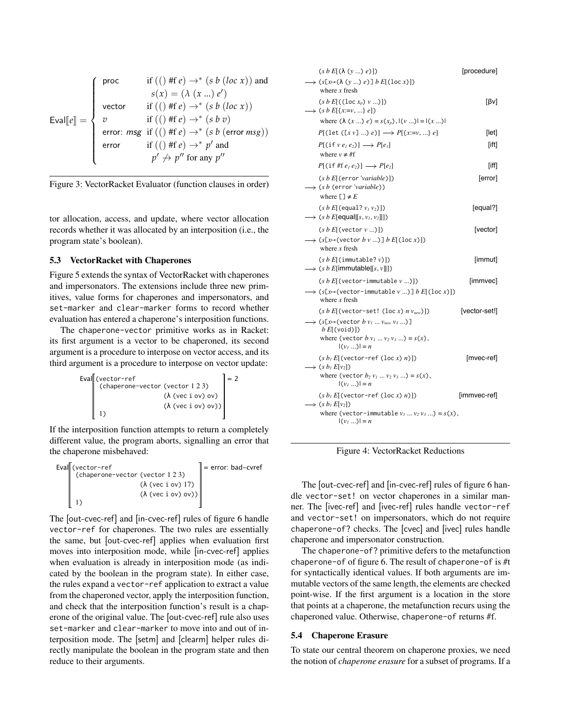$$
\text{Eval}[[e]] = \left\{ \begin{array}{ll} \text{proc} & \text{if } \left( \left( \right) \#e \right) \to^* \left( s \ b \ ( \text{loc } x ) \right) \text{ and } \\ & s(x) = \left( \lambda \ (x \dots) \ e' \right) \\ & \text{vector} & \text{if } \left( \left( \right) \#f \ e \right) \to^* \left( s \ b \ ( \text{loc } x ) \right) \\ & \text{if } \left( \left( \right) \#f \ e \right) \to^* \left( s \ b \ v \right) \\ & \text{error: } \text{msg if } \left( \left( \right) \#f \ e \right) \to^* \left( s \ b \ ( \text{error } \text{msg} ) \right) \\ & \text{error} & \text{if } \left( \left( \right) \#f \ e \right) \to^* p' \ \text{and} \\ & p' \not\to p'' \ \text{for any } p'' \end{array} \right.
$$

Figure 3: VectorRacket Evaluator (function clauses in order)

tor allocation, access, and update, where vector allocation records whether it was allocated by an interposition (i.e., the program state's boolean).

#### 5.3 VectorRacket with Chaperones

Figure 5 extends the syntax of VectorRacket with chaperones and impersonators. The extensions include three new primitives, value forms for chaperones and impersonators, and set-marker and clear-marker forms to record whether evaluation has entered a chaperone's interposition functions.

The chaperone-vector primitive works as in Racket: its first argument is a vector to be chaperoned, its second argument is a procedure to interpose on vector access, and its third argument is a procedure to interpose on vector update:

Eval  
\n
$$
\left\{\n \begin{array}{l}\n \text{(vector-ref} \\
 \text{(chaperone-vector (vector 1 2 3))} \\
 \text{(A (vec i ov) ov)} \\
 \text{(A (vec i ov) ov)} \\
 \text{(A (vec i ov) ov)}\n \end{array}\n \right\} = 2
$$

If the interposition function attempts to return a completely different value, the program aborts, signalling an error that the chaperone misbehaved:

| Eval (vector-ref               | $\parallel$ = error: bad-cvref |
|--------------------------------|--------------------------------|
| (chaperone-vector (vector 123) |                                |
| $(\lambda$ (vec i ov) 17)      |                                |
| $(\lambda$ (vec i ov) ov))     |                                |
|                                |                                |

The [out-cvec-ref] and [in-cvec-ref] rules of figure 6 handle vector-ref for chaperones. The two rules are essentially the same, but [out-cvec-ref] applies when evaluation first moves into interposition mode, while [in-cvec-ref] applies when evaluation is already in interposition mode (as indicated by the boolean in the program state). In either case, the rules expand a vector-ref application to extract a value from the chaperoned vector, apply the interposition function, and check that the interposition function's result is a chaperone of the original value. The [out-cvec-ref] rule also uses set-marker and clear-marker to move into and out of interposition mode. The [setm] and [clearm] helper rules directly manipulate the boolean in the program state and then reduce to their arguments.

| $(s b E[(\lambda (y)) e)]$<br>$\rightarrow$ (s[x $\mapsto$ ( $\lambda$ (y ) e)] b E[(loc x)])<br>where $x$ fresh                                                                                          | [procedure]             |
|-----------------------------------------------------------------------------------------------------------------------------------------------------------------------------------------------------------|-------------------------|
| $(s b E[(\text{loc } x_p) v )]$<br>$\rightarrow$ (s b E[{x:=v, } e])<br>where $(\lambda (x ) e) = s(x_n),  (v )  =  (x ) $                                                                                | $\lceil \beta v \rceil$ |
| $P[(let ([x v]  ) e)] \rightarrow P[\{x := v, \} e]$                                                                                                                                                      | [let]                   |
| $P[(if \vee e_1 e_2)] \longrightarrow P[e_1]$<br>where $v \neq #f$                                                                                                                                        | [ift]                   |
| $P[(\text{if }#f \ e_1 \ e_2)] \longrightarrow P[e_2]$                                                                                                                                                    | [iff]                   |
| (s b E[(error 'variable)])<br>$\rightarrow$ (s b (error 'variable))<br>where $[1] \neq E$                                                                                                                 | [error]                 |
| $(s b E[(equal? v1 v2)])$<br>$\rightarrow$ (s b E[equal[[s, $v_1, v_2$ ]]]                                                                                                                                | [equal?]                |
| (s b E[(vector v )])<br>$\longrightarrow$ (s[x $\mapsto$ (vector b v )] b E[(loc x)])<br>where $x$ fresh                                                                                                  | [vector]                |
| $(s b E[$ (immutable? $v)$ ])<br>$\rightarrow$ (s b E[immutable[[s, v]]])                                                                                                                                 | [immut]                 |
| $(s b E[$ (vector-immutable $v  )$ ])                                                                                                                                                                     | [immvec]                |
| $\rightarrow$ (s[x $\mapsto$ (vector-immutable v )] b E[(loc x)])<br>where $x$ fresh                                                                                                                      |                         |
| $(s b E[$ (vector-set! (loc x) n $v_{new}$ )])<br>$\longrightarrow$ (s[x $\mapsto$ (vector b $v_1$ $v_{new}$ $v_3$ )]<br>b E[(void)]<br>where (vector $b v_1  v_2 v_3 $ ) = $s(x)$ ,<br>$  (v_1  )   = n$ | [vector-set!]           |
| $(s b1 E[(vector-ref (loc x) n)])$<br>$\rightarrow$ (s $b_1 E[v_2]$ )<br>where (vector $b_2 v_1  v_2 v_3 $ ) = $s(x)$ ,<br>$ (v_1 )  = n$                                                                 | [mvec-ref]              |
| $(s b1 E[(vector-ref (loc x) n)])$<br>$\rightarrow$ (s $b_1 E[v_2]$ )<br>where (vector-immutable $v_1  v_2 v_3 $ ) = $s(x)$ ,<br>$ (v_1 )  = n$                                                           | [immvec-ref]            |

Figure 4: VectorRacket Reductions

The [out-cvec-ref] and [in-cvec-ref] rules of figure 6 handle vector-set! on vector chaperones in a similar manner. The [ivec-ref] and [ivec-ref] rules handle vector-ref and vector-set! on impersonators, which do not require chaperone-of? checks. The [cvec] and [ivec] rules handle chaperone and impersonator construction.

The chaperone-of? primitive defers to the metafunction chaperone-of of figure 6. The result of chaperone-of is #t for syntactically identical values. If both arguments are immutable vectors of the same length, the elements are checked point-wise. If the first argument is a location in the store that points at a chaperone, the metafunction recurs using the chaperoned value. Otherwise, chaperone-of returns #f.

#### 5.4 Chaperone Erasure

To state our central theorem on chaperone proxies, we need the notion of *chaperone erasure* for a subset of programs. If a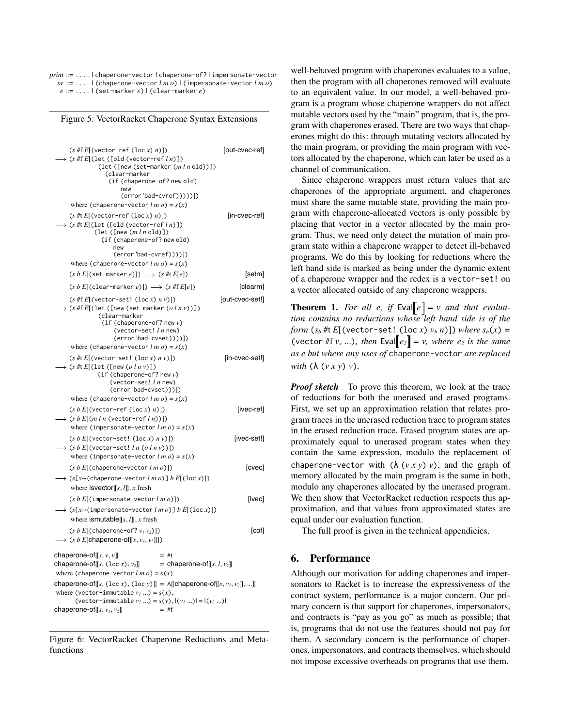prim ::= .... | chaperone-vector | chaperone-of? | impersonate-vector  $sv ::= \ldots$  (chaperone-vector  $lm \, o$ ) (impersonate-vector  $lm \, o$ )  $e ::= \ldots$ .  $|$  (set-marker  $e$ )  $|$  (clear-marker  $e$ )

#### Figure 5: VectorRacket Chaperone Syntax Extensions

```
(s \#f E[(vector-ref (loc x) n)])[out-cvec-ref]
\longrightarrow (s #f E[(let ([old (vector-ref ln()])
                (\text{let } (\text{[new }(\text{set-market } (m \, l \, n \, \text{old})))(clear-marker
                     (if (chaperone-of? new old)
                         new
                         (error 'bad-cvref)))))])
      where (chaperone-vector lm o) = s(x)(s #t E[(vector-ref (loc x) n)])[in-cvec-ref]
\longrightarrow (s #t E[(let ([old (vector-ref ln)])
               (\text{let } (\text{[new } (m \, l \, n \text{ old})])(if (chaperone-of? new old)
                      new
                      (error 'bad-cvref)))]where (chaperone-vector lm \space o) = s(x)(s b E[(set-market e)]) \longrightarrow (s #t E[e])[setm]
     (s b E[(\text{clear–marker } e)]) \longrightarrow (s \# f E[e])[clearm]
     (s \#f E[(vector-set! (loc x) n v)])[out-cvec-set!]
   \rightarrow (s #f E[(let ([new (set-marker (o lnv))])
                (clear-marker
                  (if (chaperone-of? new v)(vector-set! In new)(error 'bad-cvset))))])
      where (chaperone-vector lm \space o) = s(x)(s #t E[(vector-set! (loc x) n v)])[in-cvec-set!]
  \rightarrow (s #t E[(let ([new (o l n v)])
                (if (chaperone-of? new v)(vector-set! In new)(error 'bad-cvset)))])
      where (chaperone-vector lm \space o) = s(x)(s b E[(vector-ref (loc x) n)])[ivec-ref]
\rightarrow (s b E[(m l n (vector-ref l n))])
      where (impersonate-vector lm o) = s(x)(s b E[(vector-set! (loc x) nv)])[ivec-set!]
\rightarrow (s b E[(vector-set! l n (o l n v))])
      where (impersonate-vector lm \space o) = s(x)(s b E[(changerone-vector Im o)])[cvec]
\longrightarrow (s[x + (chaperone-vector l m o)] b E[(loc x)])
      where is vector [[s, l]], x fresh
                                                                          [ivec]
     (s b E[(\text{impersonate-vector } l m o)])\longrightarrow (s[x\mapsto(impersonate-vector l m o)] b E[(loc x)])
      where ismutable[[s, l]], x fresh
     (s b E[(chaperone-of? v<sub>1</sub> v<sub>2</sub>)])[cof]
\longrightarrow (s b E[chaperone-of[[s, v<sub>1</sub>, v<sub>2</sub>]]])
chaperone-of[[s, v, v]]= #t
chaperone-of[[s, (\text{loc } x), v_2]]
                                        = chaperone-of[[s, l, v_2]]
where (chaperone-vector lm \space o) = s(x)chaperone-of[[s, (loc x), (loc y)]] = \Lambda[[chaperone-of[[s, v_1, v_2]], ...]]
where (vector-immutable v_1 ...) = s(x),
       (vector-immutable v_2 ...) = s(y), |(v_1 ...)|= |(v_2 ...)
chaperone-of[[s, v_1, v_2]]
                                        = #f
```
Figure 6: VectorRacket Chaperone Reductions and Metafunctions

well-behaved program with chaperones evaluates to a value, then the program with all chaperones removed will evaluate to an equivalent value. In our model, a well-behaved program is a program whose chaperone wrappers do not affect mutable vectors used by the "main" program, that is, the program with chaperones erased. There are two ways that chaperones might do this: through mutating vectors allocated by the main program, or providing the main program with vectors allocated by the chaperone, which can later be used as a channel of communication.

Since chaperone wrappers must return values that are chaperones of the appropriate argument, and chaperones must share the same mutable state, providing the main program with chaperone-allocated vectors is only possible by placing that vector in a vector allocated by the main program. Thus, we need only detect the mutation of main program state within a chaperone wrapper to detect ill-behaved programs. We do this by looking for reductions where the left hand side is marked as being under the dynamic extent of a chaperone wrapper and the redex is a vector-set! on a vector allocated outside of any chaperone wrappers.

**Theorem 1.** For all e, if  $Eval$  = v and that evaluation contains no reductions whose left hand side is of the form  $(s_b \# t E[(vector-set! (loc x) v_b n)])$  where  $s_b(x) =$ (vector #f  $v_v$  ...), then Eval  $e_2$  = v, where  $e_2$  is the same as e but where any uses of chaperone-vector are replaced with  $(\lambda (v x v) v)$ .

*Proof sketch* To prove this theorem, we look at the trace of reductions for both the unerased and erased programs. First, we set up an approximation relation that relates program traces in the unerased reduction trace to program states in the erased reduction trace. Erased program states are approximately equal to unerased program states when they contain the same expression, modulo the replacement of chaperone-vector with  $(\lambda (vxy)v)$ , and the graph of memory allocated by the main program is the same in both, modulo any chaperones allocated by the unerased program. We then show that VectorRacket reduction respects this approximation, and that values from approximated states are equal under our evaluation function.

The full proof is given in the technical appendicies.

#### Performance 6.

Although our motivation for adding chaperones and impersonators to Racket is to increase the expressiveness of the contract system, performance is a major concern. Our primary concern is that support for chaperones, impersonators, and contracts is "pay as you go" as much as possible; that is, programs that do not use the features should not pay for them. A secondary concern is the performance of chaperones, impersonators, and contracts themselves, which should not impose excessive overheads on programs that use them.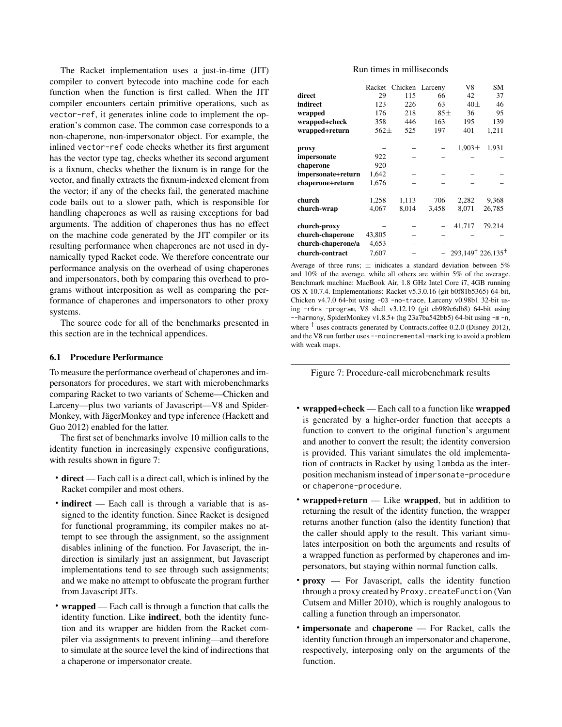The Racket implementation uses a just-in-time (JIT) compiler to convert bytecode into machine code for each function when the function is first called. When the JIT compiler encounters certain primitive operations, such as vector-ref, it generates inline code to implement the operation's common case. The common case corresponds to a non-chaperone, non-impersonator object. For example, the inlined vector-ref code checks whether its first argument has the vector type tag, checks whether its second argument is a fixnum, checks whether the fixnum is in range for the vector, and finally extracts the fixnum-indexed element from the vector; if any of the checks fail, the generated machine code bails out to a slower path, which is responsible for handling chaperones as well as raising exceptions for bad arguments. The addition of chaperones thus has no effect on the machine code generated by the JIT compiler or its resulting performance when chaperones are not used in dynamically typed Racket code. We therefore concentrate our performance analysis on the overhead of using chaperones and impersonators, both by comparing this overhead to programs without interposition as well as comparing the performance of chaperones and impersonators to other proxy systems.

The source code for all of the benchmarks presented in this section are in the technical appendices.

#### 6.1 Procedure Performance

To measure the performance overhead of chaperones and impersonators for procedures, we start with microbenchmarks comparing Racket to two variants of Scheme—Chicken and Larceny—plus two variants of Javascript—V8 and Spider-Monkey, with JägerMonkey and type inference (Hackett and Guo 2012) enabled for the latter.

The first set of benchmarks involve 10 million calls to the identity function in increasingly expensive configurations, with results shown in figure 7:

- direct Each call is a direct call, which is inlined by the Racket compiler and most others.
- indirect Each call is through a variable that is assigned to the identity function. Since Racket is designed for functional programming, its compiler makes no attempt to see through the assignment, so the assignment disables inlining of the function. For Javascript, the indirection is similarly just an assignment, but Javascript implementations tend to see through such assignments; and we make no attempt to obfuscate the program further from Javascript JITs.
- wrapped Each call is through a function that calls the identity function. Like **indirect**, both the identity function and its wrapper are hidden from the Racket compiler via assignments to prevent inlining—and therefore to simulate at the source level the kind of indirections that a chaperone or impersonator create.

#### Run times in milliseconds

|                    | Racket   | Chicken Larceny |       | V8                                    | SM     |
|--------------------|----------|-----------------|-------|---------------------------------------|--------|
| direct             | 29       | 115             | 66    | 42                                    | 37     |
| indirect           | 123      | 226             | 63    | $40\pm$                               | 46     |
| wrapped            | 176      | 218             | 85±   | 36                                    | 95     |
| wrapped+check      | 358      | 446             | 163   | 195                                   | 139    |
| wrapped+return     | $562\pm$ | 525             | 197   | 401                                   | 1,211  |
| proxy              |          |                 |       | $1,903 \pm$                           | 1,931  |
| impersonate        | 922      |                 |       |                                       |        |
| chaperone          | 920      |                 |       |                                       |        |
| impersonate+return | 1,642    |                 |       |                                       |        |
| chaperone+return   | 1,676    |                 |       |                                       |        |
| church             | 1,258    | 1,113           | 706   | 2,282                                 | 9,368  |
| church-wrap        | 4,067    | 8,014           | 3,458 | 8,071                                 | 26,785 |
| church-proxy       |          |                 |       | 41,717                                | 79,214 |
| church-chaperone   | 43,805   |                 |       |                                       |        |
| church-chaperone/a | 4,653    |                 |       |                                       |        |
| church-contract    | 7,607    |                 |       | $293,149^{\dagger} 226,135^{\dagger}$ |        |

Average of three runs;  $\pm$  inidicates a standard deviation between 5% and 10% of the average, while all others are within 5% of the average. Benchmark machine: MacBook Air, 1.8 GHz Intel Core i7, 4GB running OS X 10.7.4. Implementations: Racket v5.3.0.16 (git b0f81b5365) 64-bit, Chicken v4.7.0 64-bit using -O3 -no-trace, Larceny v0.98b1 32-bit using -r6rs -program, V8 shell v3.12.19 (git cb989e6db8) 64-bit using --harmony, SpiderMonkey v1.8.5+ (hg 23a7ba542bb5) 64-bit using -m -n, where  $<sup>†</sup>$  uses contracts generated by Contracts.coffee 0.2.0 (Disney 2012),</sup> and the V8 run further uses --noincremental-marking to avoid a problem with weak maps.

Figure 7: Procedure-call microbenchmark results

- wrapped+check Each call to a function like wrapped is generated by a higher-order function that accepts a function to convert to the original function's argument and another to convert the result; the identity conversion is provided. This variant simulates the old implementation of contracts in Racket by using lambda as the interposition mechanism instead of impersonate-procedure or chaperone-procedure.
- wrapped+return Like wrapped, but in addition to returning the result of the identity function, the wrapper returns another function (also the identity function) that the caller should apply to the result. This variant simulates interposition on both the arguments and results of a wrapped function as performed by chaperones and impersonators, but staying within normal function calls.
- proxy For Javascript, calls the identity function through a proxy created by Proxy.createFunction (Van Cutsem and Miller 2010), which is roughly analogous to calling a function through an impersonator.
- impersonate and chaperone For Racket, calls the identity function through an impersonator and chaperone, respectively, interposing only on the arguments of the function.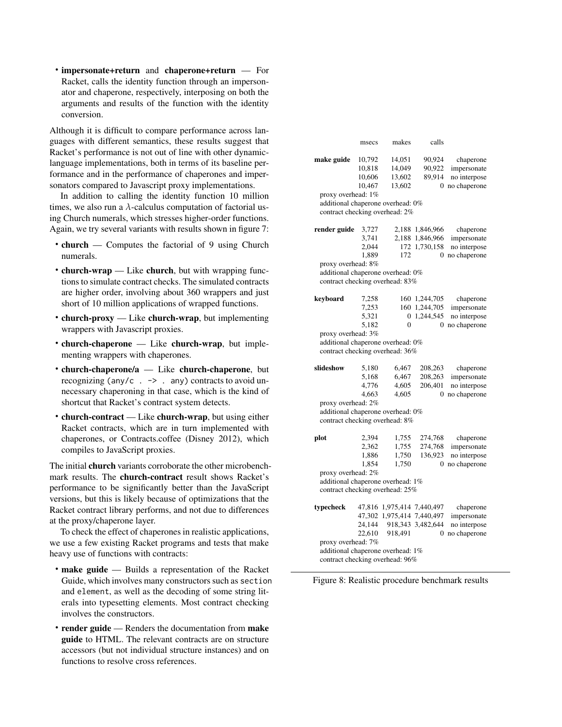• impersonate+return and chaperone+return — For Racket, calls the identity function through an impersonator and chaperone, respectively, interposing on both the arguments and results of the function with the identity conversion.

Although it is difficult to compare performance across languages with different semantics, these results suggest that Racket's performance is not out of line with other dynamiclanguage implementations, both in terms of its baseline performance and in the performance of chaperones and impersonators compared to Javascript proxy implementations.

In addition to calling the identity function 10 million times, we also run a *λ*-calculus computation of factorial using Church numerals, which stresses higher-order functions. Again, we try several variants with results shown in figure 7:

- church Computes the factorial of 9 using Church numerals.
- church-wrap Like church, but with wrapping functions to simulate contract checks. The simulated contracts are higher order, involving about 360 wrappers and just short of 10 million applications of wrapped functions.
- church-proxy Like church-wrap, but implementing wrappers with Javascript proxies.
- church-chaperone Like church-wrap, but implementing wrappers with chaperones.
- church-chaperone/a Like church-chaperone, but recognizing (any/c  $\rightarrow$   $\rightarrow$  any) contracts to avoid unnecessary chaperoning in that case, which is the kind of shortcut that Racket's contract system detects.
- church-contract Like church-wrap, but using either Racket contracts, which are in turn implemented with chaperones, or Contracts.coffee (Disney 2012), which compiles to JavaScript proxies.

The initial church variants corroborate the other microbenchmark results. The church-contract result shows Racket's performance to be significantly better than the JavaScript versions, but this is likely because of optimizations that the Racket contract library performs, and not due to differences at the proxy/chaperone layer.

To check the effect of chaperones in realistic applications, we use a few existing Racket programs and tests that make heavy use of functions with contracts:

- make guide Builds a representation of the Racket Guide, which involves many constructors such as section and element, as well as the decoding of some string literals into typesetting elements. Most contract checking involves the constructors.
- render guide Renders the documentation from make guide to HTML. The relevant contracts are on structure accessors (but not individual structure instances) and on functions to resolve cross references.

|                                                                      | msecs                             | makes    | calls                            |                              |  |  |  |  |
|----------------------------------------------------------------------|-----------------------------------|----------|----------------------------------|------------------------------|--|--|--|--|
| make guide                                                           | 10,792                            | 14,051   | 90,924                           | chaperone                    |  |  |  |  |
|                                                                      | 10,818                            | 14,049   | 90,922                           | impersonate                  |  |  |  |  |
|                                                                      | 10,606                            | 13,602   | 89,914                           | no interpose                 |  |  |  |  |
|                                                                      | 10,467                            | 13,602   | $\mathbf{0}$                     | no chaperone                 |  |  |  |  |
| proxy overhead: 1%                                                   |                                   |          |                                  |                              |  |  |  |  |
|                                                                      | additional chaperone overhead: 0% |          |                                  |                              |  |  |  |  |
| contract checking overhead: 2%                                       |                                   |          |                                  |                              |  |  |  |  |
|                                                                      |                                   |          |                                  |                              |  |  |  |  |
| render guide                                                         | 3,727                             | 2,188    | 1,846,966                        | chaperone                    |  |  |  |  |
|                                                                      | 3,741                             | 2,188    | 1,846,966                        | impersonate                  |  |  |  |  |
|                                                                      | 2,044                             | 172      | 1,730,158                        | no interpose                 |  |  |  |  |
|                                                                      | 1,889                             | 172      | $\overline{0}$                   | no chaperone                 |  |  |  |  |
| proxy overhead: 8%                                                   |                                   |          |                                  |                              |  |  |  |  |
| additional chaperone overhead: 0%                                    |                                   |          |                                  |                              |  |  |  |  |
| contract checking overhead: 83%                                      |                                   |          |                                  |                              |  |  |  |  |
|                                                                      |                                   |          |                                  |                              |  |  |  |  |
| keyboard                                                             | 7,258                             |          | 160 1,244,705                    | chaperone                    |  |  |  |  |
|                                                                      | 7,253                             |          | 160 1,244,705                    | impersonate                  |  |  |  |  |
|                                                                      | 5,321                             | 0        | 1,244,545                        | no interpose                 |  |  |  |  |
|                                                                      | 5,182                             | $\theta$ |                                  | 0 no chaperone               |  |  |  |  |
| proxy overhead: 3%                                                   |                                   |          |                                  |                              |  |  |  |  |
| additional chaperone overhead: 0%<br>contract checking overhead: 36% |                                   |          |                                  |                              |  |  |  |  |
|                                                                      |                                   |          |                                  |                              |  |  |  |  |
| slideshow                                                            | 5,180                             | 6,467    | 208,263                          | chaperone                    |  |  |  |  |
|                                                                      | 5,168                             | 6,467    | 208,263                          | impersonate                  |  |  |  |  |
|                                                                      | 4,776                             | 4,605    | 206,401                          | no interpose                 |  |  |  |  |
|                                                                      | 4,663                             | 4,605    | 0                                | no chaperone                 |  |  |  |  |
| proxy overhead: 2%                                                   |                                   |          |                                  |                              |  |  |  |  |
| additional chaperone overhead: 0%                                    |                                   |          |                                  |                              |  |  |  |  |
| contract checking overhead: 8%                                       |                                   |          |                                  |                              |  |  |  |  |
| plot                                                                 | 2,394                             | 1,755    | 274,768                          | chaperone                    |  |  |  |  |
|                                                                      | 2,362                             | 1,755    | 274,768                          | impersonate                  |  |  |  |  |
|                                                                      | 1,886                             | 1,750    | 136,923                          | no interpose                 |  |  |  |  |
|                                                                      | 1,854                             | 1,750    | 0                                | no chaperone                 |  |  |  |  |
| proxy overhead: 2%                                                   |                                   |          |                                  |                              |  |  |  |  |
| additional chaperone overhead: 1%                                    |                                   |          |                                  |                              |  |  |  |  |
| contract checking overhead: 25%                                      |                                   |          |                                  |                              |  |  |  |  |
|                                                                      |                                   |          |                                  |                              |  |  |  |  |
| typecheck                                                            | 47,816                            |          | 1,975,414 7,440,497              | chaperone                    |  |  |  |  |
|                                                                      | 47,302<br>24,144                  | 918,343  | 1,975,414 7,440,497<br>3,482,644 | impersonate                  |  |  |  |  |
|                                                                      | 22,610                            | 918,491  | 0                                | no interpose<br>no chaperone |  |  |  |  |
| proxy overhead: 7%                                                   |                                   |          |                                  |                              |  |  |  |  |
| additional chaperone overhead: 1%                                    |                                   |          |                                  |                              |  |  |  |  |
| contract checking overhead: 96%                                      |                                   |          |                                  |                              |  |  |  |  |
|                                                                      |                                   |          |                                  |                              |  |  |  |  |

![](_page_13_Figure_14.jpeg)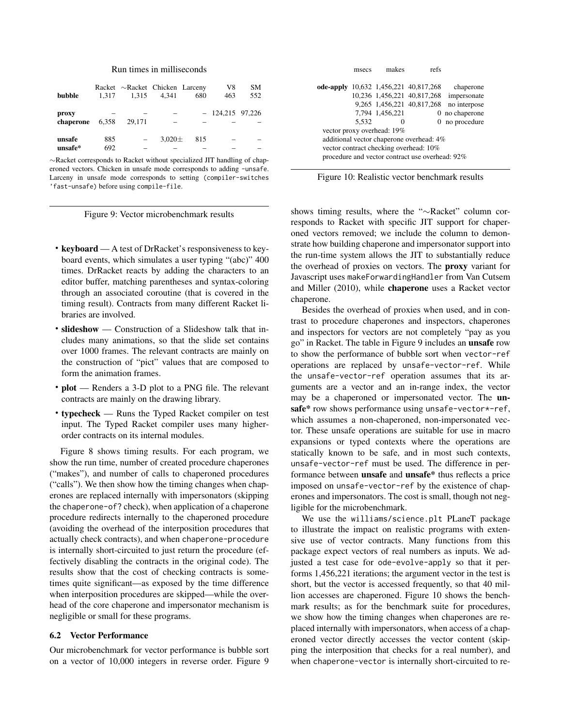#### Run times in milliseconds

|           |       | Racket $\sim$ Racket Chicken Larceny |             |     | V8                | SΜ  |
|-----------|-------|--------------------------------------|-------------|-----|-------------------|-----|
| bubble    | 1.317 | 1.315                                | 4.341       | 680 | 463               | 552 |
|           |       |                                      |             |     |                   |     |
| proxy     |       |                                      |             |     | $-124,215$ 97,226 |     |
| chaperone | 6,358 | 29.171                               |             |     |                   |     |
|           |       |                                      |             |     |                   |     |
| unsafe    | 885   |                                      | $3.020 \pm$ | 815 |                   |     |
| unsafe*   | 692   |                                      |             |     |                   |     |

∼Racket corresponds to Racket without specialized JIT handling of chaperoned vectors. Chicken in unsafe mode corresponds to adding -unsafe. Larceny in unsafe mode corresponds to setting (compiler-switches 'fast-unsafe) before using compile-file.

#### Figure 9: Vector microbenchmark results

- keyboard A test of DrRacket's responsiveness to keyboard events, which simulates a user typing "(abc)" 400 times. DrRacket reacts by adding the characters to an editor buffer, matching parentheses and syntax-coloring through an associated coroutine (that is covered in the timing result). Contracts from many different Racket libraries are involved.
- slideshow Construction of a Slideshow talk that includes many animations, so that the slide set contains over 1000 frames. The relevant contracts are mainly on the construction of "pict" values that are composed to form the animation frames.
- plot Renders a 3-D plot to a PNG file. The relevant contracts are mainly on the drawing library.
- typecheck Runs the Typed Racket compiler on test input. The Typed Racket compiler uses many higherorder contracts on its internal modules.

Figure 8 shows timing results. For each program, we show the run time, number of created procedure chaperones ("makes"), and number of calls to chaperoned procedures ("calls"). We then show how the timing changes when chaperones are replaced internally with impersonators (skipping the chaperone-of? check), when application of a chaperone procedure redirects internally to the chaperoned procedure (avoiding the overhead of the interposition procedures that actually check contracts), and when chaperone-procedure is internally short-circuited to just return the procedure (effectively disabling the contracts in the original code). The results show that the cost of checking contracts is sometimes quite significant—as exposed by the time difference when interposition procedures are skipped—while the overhead of the core chaperone and impersonator mechanism is negligible or small for these programs.

#### 6.2 Vector Performance

Our microbenchmark for vector performance is bubble sort on a vector of 10,000 integers in reverse order. Figure 9

|                                                                                    | msecs                      | makes           | refs                                            |                |  |  |  |
|------------------------------------------------------------------------------------|----------------------------|-----------------|-------------------------------------------------|----------------|--|--|--|
|                                                                                    |                            |                 | ode-apply 10,632 1,456,221 40,817,268           | chaperone      |  |  |  |
|                                                                                    |                            |                 | 10,236 1,456,221 40,817,268                     | impersonate    |  |  |  |
|                                                                                    |                            |                 | 9,265 1,456,221 40,817,268                      | no interpose   |  |  |  |
|                                                                                    |                            | 7,794 1,456,221 |                                                 | 0 no chaperone |  |  |  |
|                                                                                    | 5.532                      |                 | $_{0}$                                          | no procedure   |  |  |  |
|                                                                                    | vector proxy overhead: 19% |                 |                                                 |                |  |  |  |
| additional vector chaperone overhead: 4%<br>vector contract checking overhead: 10% |                            |                 |                                                 |                |  |  |  |
|                                                                                    |                            |                 | procedure and vector contract use overhead: 92% |                |  |  |  |

Figure 10: Realistic vector benchmark results

shows timing results, where the "∼Racket" column corresponds to Racket with specific JIT support for chaperoned vectors removed; we include the column to demonstrate how building chaperone and impersonator support into the run-time system allows the JIT to substantially reduce the overhead of proxies on vectors. The proxy variant for Javascript uses makeForwardingHandler from Van Cutsem and Miller (2010), while chaperone uses a Racket vector chaperone.

Besides the overhead of proxies when used, and in contrast to procedure chaperones and inspectors, chaperones and inspectors for vectors are not completely "pay as you go" in Racket. The table in Figure 9 includes an unsafe row to show the performance of bubble sort when vector-ref operations are replaced by unsafe-vector-ref. While the unsafe-vector-ref operation assumes that its arguments are a vector and an in-range index, the vector may be a chaperoned or impersonated vector. The unsafe\* row shows performance using unsafe-vector\*-ref, which assumes a non-chaperoned, non-impersonated vector. These unsafe operations are suitable for use in macro expansions or typed contexts where the operations are statically known to be safe, and in most such contexts, unsafe-vector-ref must be used. The difference in performance between unsafe and unsafe\* thus reflects a price imposed on unsafe-vector-ref by the existence of chaperones and impersonators. The cost is small, though not negligible for the microbenchmark.

We use the williams/science.plt PLaneT package to illustrate the impact on realistic programs with extensive use of vector contracts. Many functions from this package expect vectors of real numbers as inputs. We adjusted a test case for ode-evolve-apply so that it performs 1,456,221 iterations; the argument vector in the test is short, but the vector is accessed frequently, so that 40 million accesses are chaperoned. Figure 10 shows the benchmark results; as for the benchmark suite for procedures, we show how the timing changes when chaperones are replaced internally with impersonators, when access of a chaperoned vector directly accesses the vector content (skipping the interposition that checks for a real number), and when chaperone-vector is internally short-circuited to re-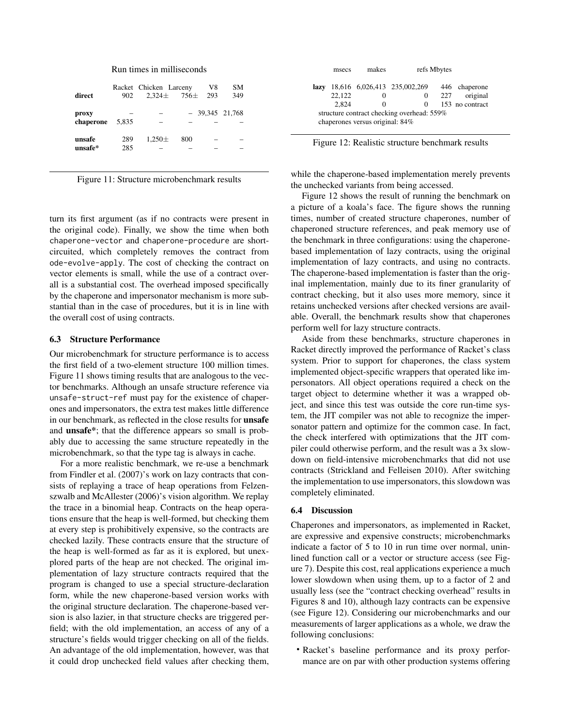|  | Run times in milliseconds |  |
|--|---------------------------|--|
|  |                           |  |

| direct             | 902        | Racket Chicken Larceny<br>$2.324\pm 756\pm 293$ |     | V8               | SМ<br>349 |
|--------------------|------------|-------------------------------------------------|-----|------------------|-----------|
| proxy<br>chaperone | 5.835      |                                                 |     | $-39,345$ 21,768 |           |
| unsafe<br>unsafe*  | 289<br>285 | $1.250 \pm$                                     | 800 |                  |           |

Figure 11: Structure microbenchmark results

turn its first argument (as if no contracts were present in the original code). Finally, we show the time when both chaperone-vector and chaperone-procedure are shortcircuited, which completely removes the contract from ode-evolve-apply. The cost of checking the contract on vector elements is small, while the use of a contract overall is a substantial cost. The overhead imposed specifically by the chaperone and impersonator mechanism is more substantial than in the case of procedures, but it is in line with the overall cost of using contracts.

#### 6.3 Structure Performance

Our microbenchmark for structure performance is to access the first field of a two-element structure 100 million times. Figure 11 shows timing results that are analogous to the vector benchmarks. Although an unsafe structure reference via unsafe-struct-ref must pay for the existence of chaperones and impersonators, the extra test makes little difference in our benchmark, as reflected in the close results for unsafe and unsafe\*; that the difference appears so small is probably due to accessing the same structure repeatedly in the microbenchmark, so that the type tag is always in cache.

For a more realistic benchmark, we re-use a benchmark from Findler et al. (2007)'s work on lazy contracts that consists of replaying a trace of heap operations from Felzenszwalb and McAllester (2006)'s vision algorithm. We replay the trace in a binomial heap. Contracts on the heap operations ensure that the heap is well-formed, but checking them at every step is prohibitively expensive, so the contracts are checked lazily. These contracts ensure that the structure of the heap is well-formed as far as it is explored, but unexplored parts of the heap are not checked. The original implementation of lazy structure contracts required that the program is changed to use a special structure-declaration form, while the new chaperone-based version works with the original structure declaration. The chaperone-based version is also lazier, in that structure checks are triggered perfield; with the old implementation, an access of any of a structure's fields would trigger checking on all of the fields. An advantage of the old implementation, however, was that it could drop unchecked field values after checking them,

|                                                                               | msecs  | makes |                                          | refs Mbytes |                           |  |
|-------------------------------------------------------------------------------|--------|-------|------------------------------------------|-------------|---------------------------|--|
| lazv                                                                          | 22.122 |       | 18,616 6,026,413 235,002,269<br>$\theta$ | 227         | 446 chaperone<br>original |  |
|                                                                               | 2.824  |       | $\theta$                                 |             | 153 no contract           |  |
| structure contract checking overhead: 559%<br>chaperones versus original: 84% |        |       |                                          |             |                           |  |

Figure 12: Realistic structure benchmark results

while the chaperone-based implementation merely prevents the unchecked variants from being accessed.

Figure 12 shows the result of running the benchmark on a picture of a koala's face. The figure shows the running times, number of created structure chaperones, number of chaperoned structure references, and peak memory use of the benchmark in three configurations: using the chaperonebased implementation of lazy contracts, using the original implementation of lazy contracts, and using no contracts. The chaperone-based implementation is faster than the original implementation, mainly due to its finer granularity of contract checking, but it also uses more memory, since it retains unchecked versions after checked versions are available. Overall, the benchmark results show that chaperones perform well for lazy structure contracts.

Aside from these benchmarks, structure chaperones in Racket directly improved the performance of Racket's class system. Prior to support for chaperones, the class system implemented object-specific wrappers that operated like impersonators. All object operations required a check on the target object to determine whether it was a wrapped object, and since this test was outside the core run-time system, the JIT compiler was not able to recognize the impersonator pattern and optimize for the common case. In fact, the check interfered with optimizations that the JIT compiler could otherwise perform, and the result was a 3x slowdown on field-intensive microbenchmarks that did not use contracts (Strickland and Felleisen 2010). After switching the implementation to use impersonators, this slowdown was completely eliminated.

#### 6.4 Discussion

Chaperones and impersonators, as implemented in Racket, are expressive and expensive constructs; microbenchmarks indicate a factor of 5 to 10 in run time over normal, uninlined function call or a vector or structure access (see Figure 7). Despite this cost, real applications experience a much lower slowdown when using them, up to a factor of 2 and usually less (see the "contract checking overhead" results in Figures 8 and 10), although lazy contracts can be expensive (see Figure 12). Considering our microbenchmarks and our measurements of larger applications as a whole, we draw the following conclusions:

• Racket's baseline performance and its proxy performance are on par with other production systems offering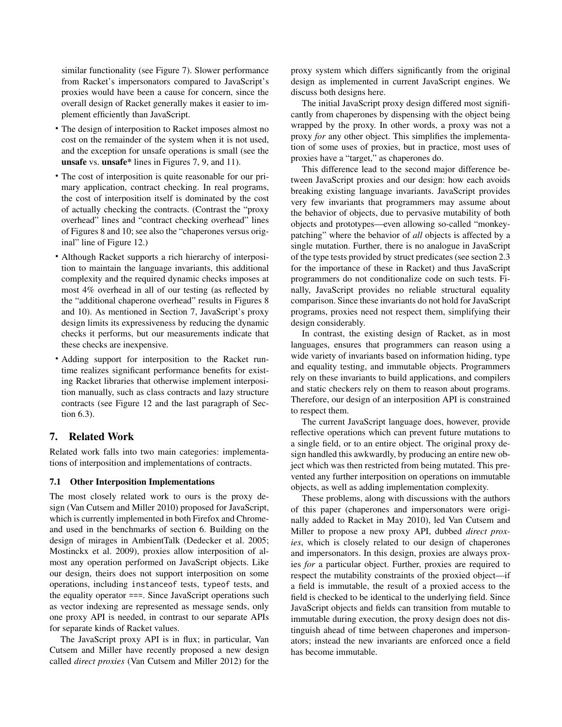similar functionality (see Figure 7). Slower performance from Racket's impersonators compared to JavaScript's proxies would have been a cause for concern, since the overall design of Racket generally makes it easier to implement efficiently than JavaScript.

- The design of interposition to Racket imposes almost no cost on the remainder of the system when it is not used, and the exception for unsafe operations is small (see the unsafe vs. unsafe\* lines in Figures 7, 9, and 11).
- The cost of interposition is quite reasonable for our primary application, contract checking. In real programs, the cost of interposition itself is dominated by the cost of actually checking the contracts. (Contrast the "proxy overhead" lines and "contract checking overhead" lines of Figures 8 and 10; see also the "chaperones versus original" line of Figure 12.)
- Although Racket supports a rich hierarchy of interposition to maintain the language invariants, this additional complexity and the required dynamic checks imposes at most 4% overhead in all of our testing (as reflected by the "additional chaperone overhead" results in Figures 8 and 10). As mentioned in Section 7, JavaScript's proxy design limits its expressiveness by reducing the dynamic checks it performs, but our measurements indicate that these checks are inexpensive.
- Adding support for interposition to the Racket runtime realizes significant performance benefits for existing Racket libraries that otherwise implement interposition manually, such as class contracts and lazy structure contracts (see Figure 12 and the last paragraph of Section 6.3).

# 7. Related Work

Related work falls into two main categories: implementations of interposition and implementations of contracts.

### 7.1 Other Interposition Implementations

The most closely related work to ours is the proxy design (Van Cutsem and Miller 2010) proposed for JavaScript, which is currently implemented in both Firefox and Chromeand used in the benchmarks of section 6. Building on the design of mirages in AmbientTalk (Dedecker et al. 2005; Mostinckx et al. 2009), proxies allow interposition of almost any operation performed on JavaScript objects. Like our design, theirs does not support interposition on some operations, including instanceof tests, typeof tests, and the equality operator ===. Since JavaScript operations such as vector indexing are represented as message sends, only one proxy API is needed, in contrast to our separate APIs for separate kinds of Racket values.

The JavaScript proxy API is in flux; in particular, Van Cutsem and Miller have recently proposed a new design called *direct proxies* (Van Cutsem and Miller 2012) for the

proxy system which differs significantly from the original design as implemented in current JavaScript engines. We discuss both designs here.

The initial JavaScript proxy design differed most significantly from chaperones by dispensing with the object being wrapped by the proxy. In other words, a proxy was not a proxy *for* any other object. This simplifies the implementation of some uses of proxies, but in practice, most uses of proxies have a "target," as chaperones do.

This difference lead to the second major difference between JavaScript proxies and our design: how each avoids breaking existing language invariants. JavaScript provides very few invariants that programmers may assume about the behavior of objects, due to pervasive mutability of both objects and prototypes—even allowing so-called "monkeypatching" where the behavior of *all* objects is affected by a single mutation. Further, there is no analogue in JavaScript of the type tests provided by struct predicates (see section 2.3 for the importance of these in Racket) and thus JavaScript programmers do not conditionalize code on such tests. Finally, JavaScript provides no reliable structural equality comparison. Since these invariants do not hold for JavaScript programs, proxies need not respect them, simplifying their design considerably.

In contrast, the existing design of Racket, as in most languages, ensures that programmers can reason using a wide variety of invariants based on information hiding, type and equality testing, and immutable objects. Programmers rely on these invariants to build applications, and compilers and static checkers rely on them to reason about programs. Therefore, our design of an interposition API is constrained to respect them.

The current JavaScript language does, however, provide reflective operations which can prevent future mutations to a single field, or to an entire object. The original proxy design handled this awkwardly, by producing an entire new object which was then restricted from being mutated. This prevented any further interposition on operations on immutable objects, as well as adding implementation complexity.

These problems, along with discussions with the authors of this paper (chaperones and impersonators were originally added to Racket in May 2010), led Van Cutsem and Miller to propose a new proxy API, dubbed *direct proxies*, which is closely related to our design of chaperones and impersonators. In this design, proxies are always proxies *for* a particular object. Further, proxies are required to respect the mutability constraints of the proxied object—if a field is immutable, the result of a proxied access to the field is checked to be identical to the underlying field. Since JavaScript objects and fields can transition from mutable to immutable during execution, the proxy design does not distinguish ahead of time between chaperones and impersonators; instead the new invariants are enforced once a field has become immutable.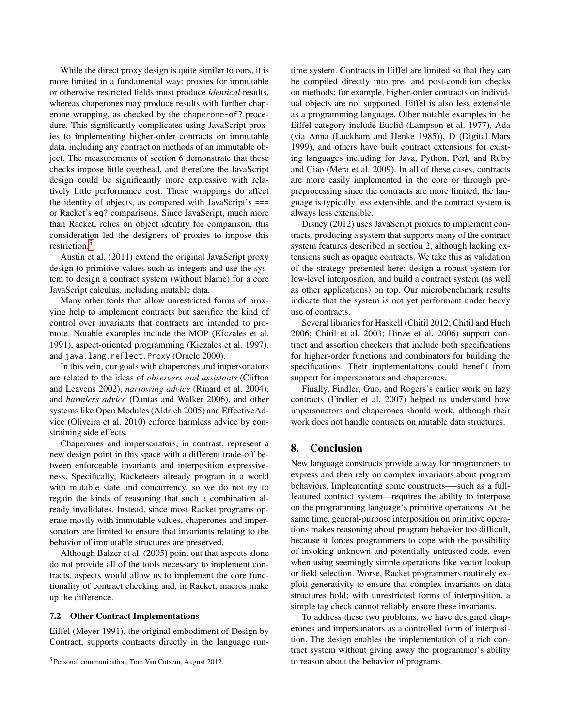While the direct proxy design is quite similar to ours, it is more limited in a fundamental way: proxies for immutable or otherwise restricted fields must produce *identical* results, whereas chaperones may produce results with further chaperone wrapping, as checked by the chaperone-of? procedure. This significantly complicates using JavaScript proxies to implementing higher-order contracts on immutable data, including any contract on methods of an immutable object. The measurements of section 6 demonstrate that these checks impose little overhead, and therefore the JavaScript design could be significantly more expressive with relatively little performance cost. These wrappings do affect the identity of objects, as compared with JavaScript's === or Racket's eq? comparisons. Since JavaScript, much more than Racket, relies on object identity for comparison, this consideration led the designers of proxies to impose this restriction.[5](#page-17-0)

Austin et al. (2011) extend the original JavaScript proxy design to primitive values such as integers and use the system to design a contract system (without blame) for a core JavaScript calculus, including mutable data.

Many other tools that allow unrestricted forms of proxying help to implement contracts but sacrifice the kind of control over invariants that contracts are intended to promote. Notable examples include the MOP (Kiczales et al. 1991), aspect-oriented programming (Kiczales et al. 1997), and java.lang.reflect.Proxy (Oracle 2000).

In this vein, our goals with chaperones and impersonators are related to the ideas of *observers and assistants* (Clifton and Leavens 2002), *narrowing advice* (Rinard et al. 2004), and *harmless advice* (Dantas and Walker 2006), and other systems like Open Modules (Aldrich 2005) and EffectiveAdvice (Oliveira et al. 2010) enforce harmless advice by constraining side effects.

Chaperones and impersonators, in contrast, represent a new design point in this space with a different trade-off between enforceable invariants and interposition expressiveness. Specifically, Racketeers already program in a world with mutable state and concurrency, so we do not try to regain the kinds of reasoning that such a combination already invalidates. Instead, since most Racket programs operate mostly with immutable values, chaperones and impersonators are limited to ensure that invariants relating to the behavior of immutable structures are preserved.

Although Balzer et al. (2005) point out that aspects alone do not provide all of the tools necessary to implement contracts, aspects would allow us to implement the core functionality of contract checking and, in Racket, macros make up the difference.

### 7.2 Other Contract Implementations

Eiffel (Meyer 1991), the original embodiment of Design by Contract, supports contracts directly in the language runtime system. Contracts in Eiffel are limited so that they can be compiled directly into pre- and post-condition checks on methods; for example, higher-order contracts on individual objects are not supported. Eiffel is also less extensible as a programming language. Other notable examples in the Eiffel category include Euclid (Lampson et al. 1977), Ada (via Anna (Luckham and Henke 1985)), D (Digital Mars 1999), and others have built contract extensions for existing languages including for Java, Python, Perl, and Ruby and Ciao (Mera et al. 2009). In all of these cases, contracts are more easily implemented in the core or through prepreprocessing since the contracts are more limited, the language is typically less extensible, and the contract system is always less extensible.

Disney (2012) uses JavaScript proxies to implement contracts, producing a system that supports many of the contract system features described in section 2, although lacking extensions such as opaque contracts. We take this as validation of the strategy presented here: design a robust system for low-level interposition, and build a contract system (as well as other applications) on top. Our microbenchmark results indicate that the system is not yet performant under heavy use of contracts.

Several libraries for Haskell (Chitil 2012; Chitil and Huch 2006; Chitil et al. 2003; Hinze et al. 2006) support contract and assertion checkers that include both specifications for higher-order functions and combinators for building the specifications. Their implementations could benefit from support for impersonators and chaperones.

Finally, Findler, Guo, and Rogers's earlier work on lazy contracts (Findler et al. 2007) helped us understand how impersonators and chaperones should work, although their work does not handle contracts on mutable data structures.

### 8. Conclusion

New language constructs provide a way for programmers to express and then rely on complex invariants about program behaviors. Implementing some constructs—-such as a fullfeatured contract system—requires the ability to interpose on the programming language's primitive operations. At the same time, general-purpose interposition on primitive operations makes reasoning about program behavior too difficult, because it forces programmers to cope with the possibility of invoking unknown and potentially untrusted code, even when using seemingly simple operations like vector lookup or field selection. Worse, Racket programmers routinely exploit generativity to ensure that complex invariants on data structures hold; with unrestricted forms of interposition, a simple tag check cannot reliably ensure these invariants.

To address these two problems, we have designed chaperones and impersonators as a controlled form of interposition. The design enables the implementation of a rich contract system without giving away the programmer's ability to reason about the behavior of programs.

<span id="page-17-0"></span><sup>5</sup> Personal communication, Tom Van Cutsem, August 2012.